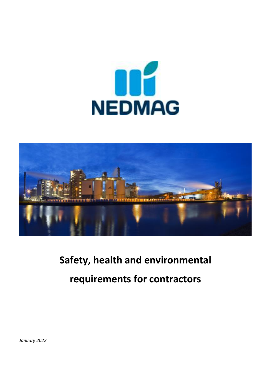# **ODE**



## **Safety, health and environmental requirements for contractors**

*January 2022*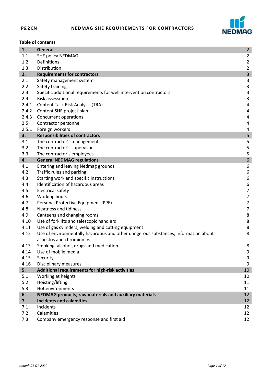

#### **Table of contents**

| 1.    | General                                                                            | $\overline{2}$          |
|-------|------------------------------------------------------------------------------------|-------------------------|
| 1.1   | SHE policy NEDMAG                                                                  | $\overline{2}$          |
| 1.2   | Definitions                                                                        | $\overline{2}$          |
| 1.3   | Distribution                                                                       | $\overline{2}$          |
| 2.    | <b>Requirements for contractors</b>                                                | $\mathsf 3$             |
| 2.1   | Safety management system                                                           | 3                       |
| 2.2   | Safety training                                                                    | $\mathsf{3}$            |
| 2.3   | Specific additional requirements for well intervention contractors                 | $\mathsf{3}$            |
| 2.4   | Risk assessment                                                                    | 3                       |
| 2.4.1 | <b>Content Task Risk Analysis (TRA)</b>                                            | $\overline{\mathbf{4}}$ |
| 2.4.2 | Content SHE project plan                                                           | $\overline{\mathbf{4}}$ |
| 2.4.3 | Concurrent operations                                                              | $\overline{a}$          |
| 2.5   | Contractor personnel                                                               | 4                       |
| 2.5.1 | Foreign workers                                                                    | 4                       |
| 3.    | <b>Responsibilities of contractors</b>                                             | 5                       |
| 3.1   | The contractor's management                                                        | 5                       |
| 3.2   | The contractor's supervisor                                                        | 5                       |
| 3.3   | The contractor's employees                                                         | 5                       |
| 4.    | <b>General NEDMAG regulations</b>                                                  | $\boldsymbol{6}$        |
| 4.1   | Entering and leaving Nedmag grounds                                                | 6                       |
| 4.2   | Traffic rules and parking                                                          | 6                       |
| 4.3   | Starting work and specific instructions                                            | $\boldsymbol{6}$        |
| 4.4   | Identification of hazardous areas                                                  | $\boldsymbol{6}$        |
| 4.5   | <b>Electrical safety</b>                                                           | $\overline{7}$          |
| 4.6   | Working hours                                                                      | $\overline{7}$          |
| 4.7   | Personal Protective Equipment (PPE)                                                | $\overline{7}$          |
| 4.8   | <b>Neatness and tidiness</b>                                                       | $\overline{7}$          |
| 4.9   | Canteens and changing rooms                                                        | $\bf 8$                 |
| 4.10  | Use of forklifts and telescopic handlers                                           | $\,8\,$                 |
| 4.11  | Use of gas cylinders, welding and cutting equipment                                | 8                       |
| 4.12  | Use of environmentally hazardous and other dangerous substances; information about | 8                       |
|       | asbestos and chromium-6                                                            |                         |
| 4.13  | Smoking, alcohol, drugs and medication                                             | 8                       |
| 4.14  | Use of mobile media                                                                | 9                       |
| 4.15  | Security                                                                           | 9                       |
| 4.16  | Disciplinary measures                                                              | 9                       |
| 5.    | Additional requirements for high-risk activities                                   | 10                      |
| 5.1   | Working at heights                                                                 | 10                      |
| 5.2   | Hoisting/lifting                                                                   | 11                      |
| 5.3   | Hot environments                                                                   | 11                      |
| 6.    | NEDMAG products, raw materials and auxiliary materials                             | 12                      |
| 7.    | <b>Incidents and calamities</b>                                                    | 12                      |
| 7.1   | Incidents                                                                          | 12                      |
| 7.2   | Calamities                                                                         | 12                      |
| 7.3   | Company emergency response and first aid                                           | 12                      |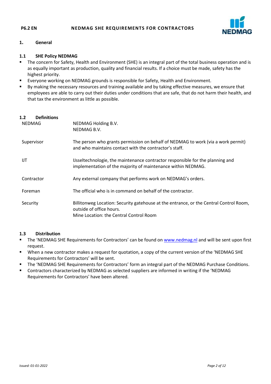

#### **1. General**

#### **1.1 SHE Policy NEDMAG**

- The concern for Safety, Health and Environment (SHE) is an integral part of the total business operation and is as equally important as production, quality and financial results. If a choice must be made, safety has the highest priority.
- Everyone working on NEDMAG grounds is responsible for Safety, Health and Environment.
- By making the necessary resources and training available and by taking effective measures, we ensure that employees are able to carry out their duties under conditions that are safe, that do not harm their health, and that tax the environment as little as possible.

#### **1.2 Definitions**

| <b>NEDMAG</b> | NEDMAG Holding B.V.<br>NEDMAG B.V.                                                                                                                            |
|---------------|---------------------------------------------------------------------------------------------------------------------------------------------------------------|
| Supervisor    | The person who grants permission on behalf of NEDMAG to work (via a work permit)<br>and who maintains contact with the contractor's staff.                    |
| IJT           | IJsseltechnologie, the maintenance contractor responsible for the planning and<br>implementation of the majority of maintenance within NEDMAG.                |
| Contractor    | Any external company that performs work on NEDMAG's orders.                                                                                                   |
| Foreman       | The official who is in command on behalf of the contractor.                                                                                                   |
| Security      | Billitonweg Location: Security gatehouse at the entrance, or the Central Control Room,<br>outside of office hours.<br>Mine Location: the Central Control Room |

#### **1.3 Distribution**

- The 'NEDMAG SHE Requirements for Contractors' can be found on [www.nedmag.nl](http://www.nedmag.nl/) and will be sent upon first request.
- When a new contractor makes a request for quotation, a copy of the current version of the 'NEDMAG SHE Requirements for Contractors' will be sent.
- The 'NEDMAG SHE Requirements for Contractors' form an integral part of the NEDMAG Purchase Conditions.
- Contractors characterized by NEDMAG as selected suppliers are informed in writing if the 'NEDMAG Requirements for Contractors' have been altered.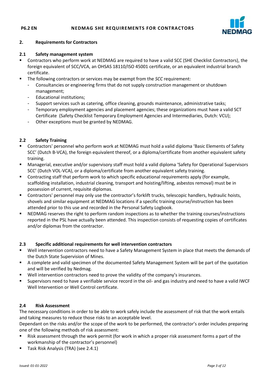

#### **2. Requirements for Contractors**

#### **2.1 Safety management system**

- Contractors who perform work at NEDMAG are required to have a valid SCC (SHE Checklist Contractors), the foreign equivalent of SCC/VCA, an OHSAS 18110/ISO 45001 certificate, or an equivalent industrial branch certificate.
- The following contractors or services may be exempt from the *SCC* requirement:
	- Consultancies or engineering firms that do not supply construction management or shutdown management;
	- Educational institutions;
	- Support services such as catering, office cleaning, grounds maintenance, administrative tasks;
	- Temporary employment agencies and placement agencies; these organizations must have a valid SCT Certificate (Safety Checklist Temporary Employment Agencies and Intermediaries, Dutch: VCU);
	- Other exceptions must be granted by NEDMAG.

#### **2.2 Safety Training**

- Contractors' personnel who perform work at NEDMAG must hold a valid diploma 'Basic Elements of Safety SCC' (Dutch B-VCA), the foreign equivalent thereof, or a diploma/certificate from another equivalent safety training.
- Managerial, executive and/or supervisory staff must hold a valid diploma 'Safety for Operational Supervisors SCC' (Dutch VOL-VCA), or a diploma/certificate from another equivalent safety training.
- **EXP** Contracting staff that perform work to which specific educational requirements apply (for example, scaffolding installation, industrial cleaning, transport and hoisting/lifting, asbestos removal) must be in possession of current, requisite diplomas.
- Contractors' personnel may only use the contractor's forklift trucks, telescopic handlers, hydraulic hoists, shovels and similar equipment at NEDMAG locations if a specific training course/instruction has been attended prior to this use and recorded in the Personal Safety Logbook.
- NEDMAG reserves the right to perform random inspections as to whether the training courses/instructions reported in the PSL have actually been attended. This inspection consists of requesting copies of certificates and/or diplomas from the contractor.

#### **2.3 Specific additional requirements for well intervention contractors**

- Well intervention contractors need to have a Safety Management System in place that meets the demands of the Dutch State Supervision of Mines.
- A complete and valid specimen of the documented Safety Management System will be part of the quotation and will be verified by Nedmag.
- Well intervention contractors need to prove the validity of the company's insurances.
- Supervisors need to have a verifiable service record in the oil- and gas industry and need to have a valid IWCF Well Intervention or Well Control certificate.

#### **2.4 Risk Assessment**

The necessary conditions in order to be able to work safely include the assessment of risk that the work entails and taking measures to reduce those risks to an acceptable level.

Dependant on the risks and/or the scope of the work to be performed, the contractor's order includes preparing one of the following methods of risk assessment:

- Risk assessment through the work permit (for work in which a proper risk assessment forms a part of the workmanship of the contractor's personnel)
- Task Risk Analysis (TRA) (see 2.4.1)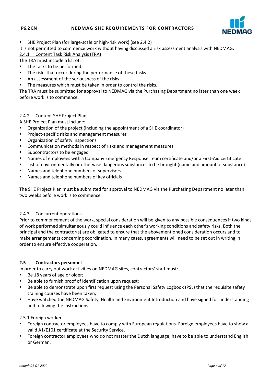

SHE Project Plan (for large-scale or high-risk work) (see 2.4.2)

It is not permitted to commence work without having discussed a risk assessment analysis with NEDMAG.

2.4.1 Content Task Risk Analysis (TRA)

The TRA must include a list of:

- The tasks to be performed
- The risks that occur during the performance of these tasks
- An assessment of the seriousness of the risks
- The measures which must be taken in order to control the risks.

The TRA must be submitted for approval to NEDMAG via the Purchasing Department no later than one week before work is to commence.

#### 2.4.2 Content SHE Project Plan

A SHE Project Plan must include:

- Organization of the project (including the appointment of a SHE coordinator)
- **Project-specific risks and management measures**
- **•** Organization of safety inspections
- **EXECOMMUNIMUM** Communication methods in respect of risks and management measures
- **Subcontractors to be engaged**
- Names of employees with a Company Emergency Response Team certificate and/or a First-Aid certificate
- **EXTERCH List of environmentally or otherwise dangerous substances to be brought (name and amount of substance)**
- Names and telephone numbers of supervisors
- **Names and telephone numbers of key officials**

The SHE Project Plan must be submitted for approval to NEDMAG via the Purchasing Department no later than two weeks before work is to commence.

#### 2.4.3 Concurrent operations

Prior to commencement of the work, special consideration will be given to any possible consequences if two kinds of work performed simultaneously could influence each other's working conditions and safety risks. Both the principal and the contractor(s) are obligated to ensure that the abovementioned consideration occurs and to make arrangements concerning coordination. In many cases, agreements will need to be set out in writing in order to ensure effective cooperation.

#### **2.5 Contractors personnel**

In order to carry out work activities on NEDMAG sites, contractors' staff must:

- $\blacksquare$  Be 18 years of age or older;
- Be able to furnish proof of identification upon request;
- Be able to demonstrate upon first request using the Personal Safety Logbook (PSL) that the requisite safety training courses have been taken;
- Have watched the NEDMAG Safety, Health and Environment Introduction and have signed for understanding and following the instructions.

#### 2.5.1 Foreign workers

- Foreign contractor employees have to comply with European regulations. Foreign employees have to show a valid A1/E101 certificate at the Security Service.
- **Foreign contractor employees who do not master the Dutch language, have to be able to understand English** or German.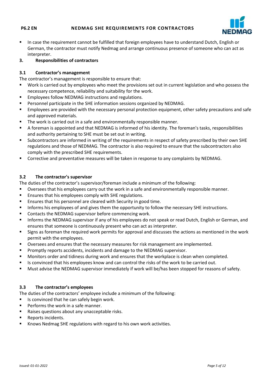

- **In case the requirement cannot be fulfilled that foreign employees have to understand Dutch, English or** German, the contractor must notify Nedmag and arrange continuous presence of someone who can act as interpreter.
- **3. Responsibilities of contractors**

### **3.1 Contractor's management**

The contractor's management is responsible to ensure that:

- Work is carried out by employees who meet the provisions set out in current legislation and who possess the necessary competence, reliability and suitability for the work.
- **Employees follow NEDMAG instructions and regulations.**
- Personnel participate in the SHE information sessions organized by NEDMAG.
- **Employees are provided with the necessary personal protection equipment, other safety precautions and safe** and approved materials.
- **The work is carried out in a safe and environmentally responsible manner.**
- A foreman is appointed and that NEDMAG is informed of his identity. The foreman's tasks, responsibilities and authority pertaining to SHE must be set out in writing.
- Subcontractors are informed in writing of the requirements in respect of safety prescribed by their own SHE regulations and those of NEDMAG. The contractor is also required to ensure that the subcontractors also comply with the prescribed SHE requirements.
- Corrective and preventative measures will be taken in response to any complaints by NEDMAG.

### **3.2 The contractor's supervisor**

The duties of the contractor's supervisor/foreman include a minimum of the following:

- Oversees that his employees carry out the work in a safe and environmentally responsible manner.
- **Ensures that his employees comply with SHE regulations.**
- **Ensures that his personnel are cleared with Security in good time.**
- **Informs his employees of and gives them the opportunity to follow the necessary SHE instructions.**
- Contacts the NEDMAG supervisor before commencing work.
- **Informs the NEDMAG supervisor if any of his employees do not speak or read Dutch, English or German, and** ensures that someone is continuously present who can act as interpreter.
- Signs as foreman the required work permits for approval and discusses the actions as mentioned in the work permit with the employees.
- Oversees and ensures that the necessary measures for risk management are implemented.
- **Promptly reports accidents, incidents and damage to the NEDMAG supervisor.**
- Monitors order and tidiness during work and ensures that the workplace is clean when completed.
- Is convinced that his employees know and can control the risks of the work to be carried out.
- Must advise the NEDMAG supervisor immediately if work will be/has been stopped for reasons of safety.

#### **3.3 The contractor's employees**

The duties of the contractors' employee include a minimum of the following:

- $\blacksquare$  Is convinced that he can safely begin work.
- **Performs the work in a safe manner.**
- Raises questions about any unacceptable risks.
- Reports incidents.
- Knows Nedmag SHE regulations with regard to his own work activities.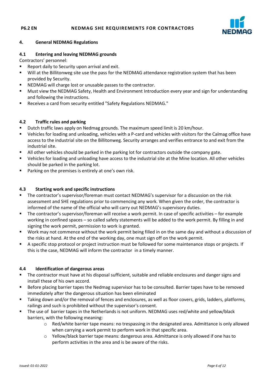

#### **4. General NEDMAG Regulations**

#### **4.1 Entering and leaving NEDMAG grounds**

Contractors' personnel:

- Report daily to Security upon arrival and exit.
- Will at the Billitonweg site use the pass for the NEDMAG attendance registration system that has been provided by Security.
- **NEDMAG will charge lost or unusable passes to the contractor.**
- Must view the NEDMAG Safety, Health and Environment Introduction every year and sign for understanding and following the instructions.
- Receives a card from security entitled "Safety Regulations NEDMAG."

#### **4.2 Traffic rules and parking**

- Dutch traffic laws apply on Nedmag grounds. The maximum speed limit is 20 km/hour.
- Vehicles for loading and unloading, vehicles with a P-card and vehicles with visitors for the Calmag office have access to the industrial site on the Billitonweg. Security arranges and verifies entrance to and exit from the industrial site.
- All other vehicles should be parked in the parking lot for contractors outside the company gate.
- Vehicles for loading and unloading have access to the industrial site at the Mine location. All other vehicles should be parked in the parking lot.
- **Parking on the premises is entirely at one's own risk.**

#### **4.3 Starting work and specific instructions**

- **The contractor's supervisor/foreman must contact NEDMAG's supervisor for a discussion on the risk** assessment and SHE regulations prior to commencing any work. When given the order, the contractor is informed of the name of the official who will carry out NEDMAG's supervisory duties.
- The contractor's supervisor/foreman will receive a work permit. In case of specific activities for example working in confined spaces – so called safety statements will be added to the work permit. By filling in and signing the work permit, permission to work is granted.
- Work may not commence without the work permit being filled in on the same day and without a discussion of the risks at hand. At the end of the working day, one must sign off on the work permit.
- A specific stop protocol or project instruction must be followed for some maintenance stops or projects. If this is the case, NEDMAG will inform the contractor in a timely manner.

#### **4.4 Identification of dangerous areas**

- The contractor must have at his disposal sufficient, suitable and reliable enclosures and danger signs and install these of his own accord.
- **Before placing barrier tapes the Nedmag supervisor has to be consulted. Barrier tapes have to be removed** immediately after the dangerous situation has been eliminated
- Taking down and/or the removal of fences and enclosures, as well as floor covers, grids, ladders, platforms, railings and such is prohibited without the supervisor's consent.
- The use of barrier tapes in the Netherlands is not uniform. NEDMAG uses red/white and yellow/black barriers, with the following meaning:
	- o Red/white barrier tape means: no trespassing in the designated area. Admittance is only allowed when carrying a work permit to perform work in that specific area.
	- o Yellow/black barrier tape means: dangerous area. Admittance is only allowed if one has to perform activities in the area and is be aware of the risks.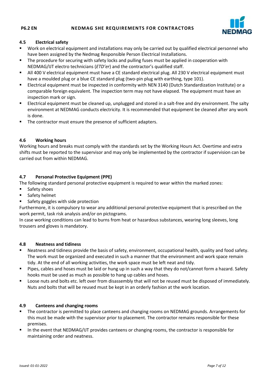

#### **4.5 Electrical safety**

- Work on electrical equipment and installations may only be carried out by qualified electrical personnel who have been assigned by the Nedmag Responsible Person Electrical Installations.
- **The procedure for securing with safety locks and pulling fuses must be applied in cooperation with** NEDMAG/IJT electro technicians (*ETD'er*) and the contractor's qualified staff.
- All 400 V electrical equipment must have a CE standard electrical plug. All 230 V electrical equipment must have a moulded plug or a blue CE standard plug (two-pin plug with earthing, type 101).
- Electrical equipment must be inspected in conformity with NEN 3140 (Dutch Standardization Institute) or a comparable foreign equivalent. The inspection term may not have elapsed. The equipment must have an inspection mark or sign.
- Electrical equipment must be cleaned up, unplugged and stored in a salt-free and dry environment. The salty environment at NEDMAG conducts electricity. It is recommended that equipment be cleaned after any work is done.
- The contractor must ensure the presence of sufficient adapters.

#### **4.6 Working hours**

Working hours and breaks must comply with the standards set by the Working Hours Act. Overtime and extra shifts must be reported to the supervisor and may only be implemented by the contractor if supervision can be carried out from within NEDMAG.

#### **4.7 Personal Protective Equipment (PPE)**

The following standard personal protective equipment is required to wear within the marked zones:

- Safety shoes
- **Safety helmet**
- Safety goggles with side protection

Furthermore, it is compulsory to wear any additional personal protective equipment that is prescribed on the work permit, task risk analysis and/or on pictograms.

In case working conditions can lead to burns from heat or hazardous substances, wearing long sleeves, long trousers and gloves is mandatory.

#### **4.8 Neatness and tidiness**

- Neatness and tidiness provide the basis of safety, environment, occupational health, quality and food safety. The work must be organized and executed in such a manner that the environment and work space remain tidy. At the end of all working activities, the work space must be left neat and tidy.
- Pipes, cables and hoses must be laid or hung up in such a way that they do not/cannot form a hazard. Safety hooks must be used as much as possible to hang up cables and hoses.
- **Loose nuts and bolts etc. left over from disassembly that will not be reused must be disposed of immediately.** Nuts and bolts that will be reused must be kept in an orderly fashion at the work location.

#### **4.9 Canteens and changing rooms**

- The contractor is permitted to place canteens and changing rooms on NEDMAG grounds. Arrangements for this must be made with the supervisor prior to placement. The contractor remains responsible for these premises.
- In the event that NEDMAG/IJT provides canteens or changing rooms, the contractor is responsible for maintaining order and neatness.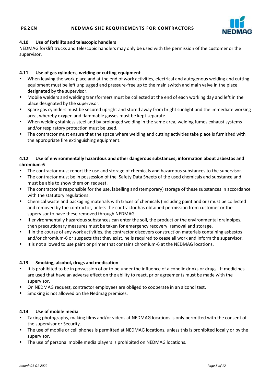

#### **4.10 Use of forklifts and telescopic handlers**

NEDMAG forklift trucks and telescopic handlers may only be used with the permission of the customer or the supervisor.

#### **4.11 Use of gas cylinders, welding or cutting equipment**

- When leaving the work place and at the end of work activities, electrical and autogenous welding and cutting equipment must be left unplugged and pressure-free up to the main switch and main valve in the place designated by the supervisor.
- Mobile welders and welding transformers must be collected at the end of each working day and left in the place designated by the supervisor.
- Spare gas cylinders must be secured upright and stored away from bright sunlight and the immediate working area, whereby oxygen and flammable gasses must be kept separate.
- When welding stainless steel and by prolonged welding in the same area, welding fumes exhaust systems and/or respiratory protection must be used.
- The contractor must ensure that the space where welding and cutting activities take place is furnished with the appropriate fire extinguishing equipment.

#### **4.12 Use of environmentally hazardous and other dangerous substances; information about asbestos and chromium-6**

- The contractor must report the use and storage of chemicals and hazardous substances to the supervisor.
- **The contractor must be in possession of the Safety Data Sheets of the used chemicals and substance and substance and** must be able to show them on request.
- The contractor is responsible for the use, labelling and (temporary) storage of these substances in accordance with the statutory regulations.
- Chemical waste and packaging materials with traces of chemicals (including paint and oil) must be collected and removed by the contractor, unless the contractor has obtained permission from customer or the supervisor to have these removed through NEDMAG.
- If environmentally hazardous substances can enter the soil, the product or the environmental drainpipes, then precautionary measures must be taken for emergency recovery, removal and storage.
- If in the course of any work activities, the contractor discovers construction materials containing asbestos and/or chromium-6 or suspects that they exist, he is required to cease all work and inform the supervisor.
- It is not allowed to use paint or primer that contains chromium-6 at the NEDMAG locations.

#### **4.13 Smoking, alcohol, drugs and medication**

- It is prohibited to be in possession of or to be under the influence of alcoholic drinks or drugs. If medicines are used that have an adverse effect on the ability to react, prior agreements must be made with the supervisor.
- On NEDMAG request, contractor employees are obliged to cooperate in an alcohol test.
- **SMOKING IS NOTE ALLOWED ON THE NEDMAN PROPERTY SHOW FIG.**

#### **4.14 Use of mobile media**

- Taking photographs, making films and/or videos at NEDMAG locations is only permitted with the consent of the supervisor or Security.
- The use of mobile or cell phones is permitted at NEDMAG locations, unless this is prohibited locally or by the supervisor.
- The use of personal mobile media players is prohibited on NEDMAG locations.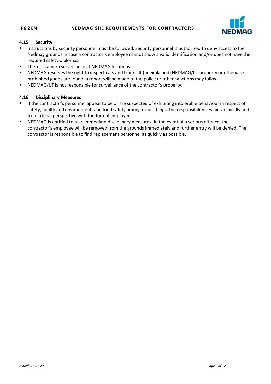

#### **4.15 Security**

- **Instructions by security personnel must be followed. Security personnel is authorized to deny access to the** Nedmag grounds in case a contractor's employee cannot show a valid identification and/or does not have the required safety diplomas.
- There is camera surveillance at NEDMAG locations.
- NEDMAG reserves the right to inspect cars and trucks. If (unexplained) NEDMAG/IJT property or otherwise prohibited goods are found, a report will be made to the police or other sanctions may follow.
- NEDMAG/IJT is not responsible for surveillance of the contractor's property.

#### **4.16 Disciplinary Measures**

- If the contractor's personnel appear to be or are suspected of exhibiting intolerable behaviour in respect of safety, health and environment, and food safety among other things, the responsibility lies hierarchically and from a legal perspective with the formal employer.
- NEDMAG is entitled to take immediate disciplinary measures. In the event of a serious offence, the contractor's employee will be removed from the grounds immediately and further entry will be denied. The contractor is responsible to find replacement personnel as quickly as possible.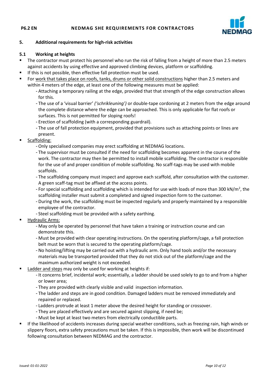

#### **5. Additional requirements for high-risk activities**

#### **5.1 Working at heights**

- The contractor must protect his personnel who run the risk of falling from a height of more than 2.5 meters against accidents by using effective and approved climbing devices, platform or scaffolding.
- **If this is not possible, then effective fall protection must be used.**
- For work that takes place on roofs, tanks, drums or other solid constructions higher than 2.5 meters and within 4 meters of the edge, at least one of the following measures must be applied:
	- Attaching a temporary railing at the edge, provided that that strength of the edge construction allows for this.
	- The use of a 'visual barrier' *('schrikleuning')* or double-tape cordoning at 2 meters from the edge around the complete distance where the edge can be approached. This is only applicable for flat roofs or surfaces. This is not permitted for sloping roofs!
	- Erection of scaffolding (with a corresponding guardrail).
	- The use of fall protection equipment, provided that provisions such as attaching points or lines are present.
- Scaffolding:
	- Only specialised companies may erect scaffolding at NEDMAG locations.
	- The supervisor must be consulted if the need for scaffolding becomes apparent in the course of the work. The contractor may then be permitted to install mobile scaffolding. The contractor is responsible for the use of and proper condition of mobile scaffolding. No scaff-tags may be used with mobile scaffolds.
	- The scaffolding company must inspect and approve each scaffold, after consultation with the customer. A green scaff-tag must be affixed at the access points.
	- For special scaffolding and scaffolding which is intended for use with loads of more than 300 kN/m<sup>2</sup>, the scaffolding installer must submit a completed and signed inspection form to the customer.
	- During the work, the scaffolding must be inspected regularly and properly maintained by a responsible employee of the contractor.
	- Steel scaffolding must be provided with a safety earthing.
- Hydraulic Arms:
	- May only be operated by personnel that have taken a training or instruction course and can demonstrate this.
	- Must be provided with clear operating instructions. On the operating platform/cage, a fall protection belt must be worn that is secured to the operating platform/cage.
	- No hoisting/lifting may be carried out with a hydraulic arm. Only hand tools and/or the necessary materials may be transported provided that they do not stick out of the platform/cage and the maximum authorized weight is not exceeded.
- Ladder and steps may only be used for working at heights if:
	- It concerns brief, incidental work; essentially, a ladder should be used solely to go to and from a higher or lower area;
	- They are provided with clearly visible and valid inspection information.
	- The ladder and steps are in good condition. Damaged ladders must be removed immediately and repaired or replaced.
	- Ladders protrude at least 1 meter above the desired height for standing or crossover.
	- They are placed effectively and are secured against slipping, if need be;
	- Must be kept at least two meters from electrically conductible parts.
- If the likelihood of accidents increases during special weather conditions, such as freezing rain, high winds or slippery floors, extra safety precautions must be taken. If this is impossible, then work will be discontinued following consultation between NEDMAG and the contractor.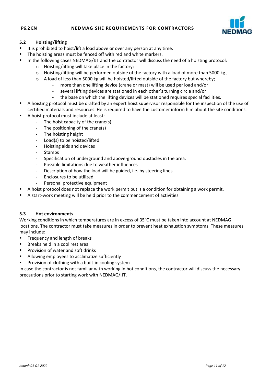

#### **5.2 Hoisting/lifting**

- It is prohibited to hoist/lift a load above or over any person at any time.
- The hoisting areas must be fenced off with red and white markers.
- In the following cases NEDMAG/IJT and the contractor will discuss the need of a hoisting protocol:
	- o Hoisting/lifting will take place in the factory;
	- o Hoisting/lifting will be performed outside of the factory with a load of more than 5000 kg.;
	- $\circ$  A load of less than 5000 kg will be hoisted/lifted outside of the factory but whereby;
		- more than one lifting device (crane or mast) will be used per load and/or
		- several lifting devices are stationed in each other's turning circle and/or
		- the base on which the lifting devices will be stationed requires special facilities.
- A hoisting protocol must be drafted by an expert hoist supervisor responsible for the inspection of the use of certified materials and resources. He is required to have the customer inform him about the site conditions.
- A hoist protocol must include at least:
	- The hoist capacity of the crane(s)
	- The positioning of the crane(s)
	- The hoisting height
	- Load(s) to be hoisted/lifted
	- Hoisting aids and devices
	- Stamps
	- Specification of underground and above-ground obstacles in the area.
	- Possible limitations due to weather influences
	- Description of how the load will be guided, i.e. by steering lines
	- Enclosures to be utilized
	- Personal protective equipment
- A hoist protocol does not replace the work permit but is a condition for obtaining a work permit.
- A start-work meeting will be held prior to the commencement of activities.

#### **5.3 Hot environments**

Working conditions in which temperatures are in excess of 35˚C must be taken into account at NEDMAG locations. The contractor must take measures in order to prevent heat exhaustion symptoms. These measures may include:

- **FI** Frequency and length of breaks
- Breaks held in a cool rest area
- **Provision of water and soft drinks**
- **Allowing employees to acclimatize sufficiently**
- **Provision of clothing with a built-in cooling system**

In case the contractor is not familiar with working in hot conditions, the contractor will discuss the necessary precautions prior to starting work with NEDMAG/IJT.